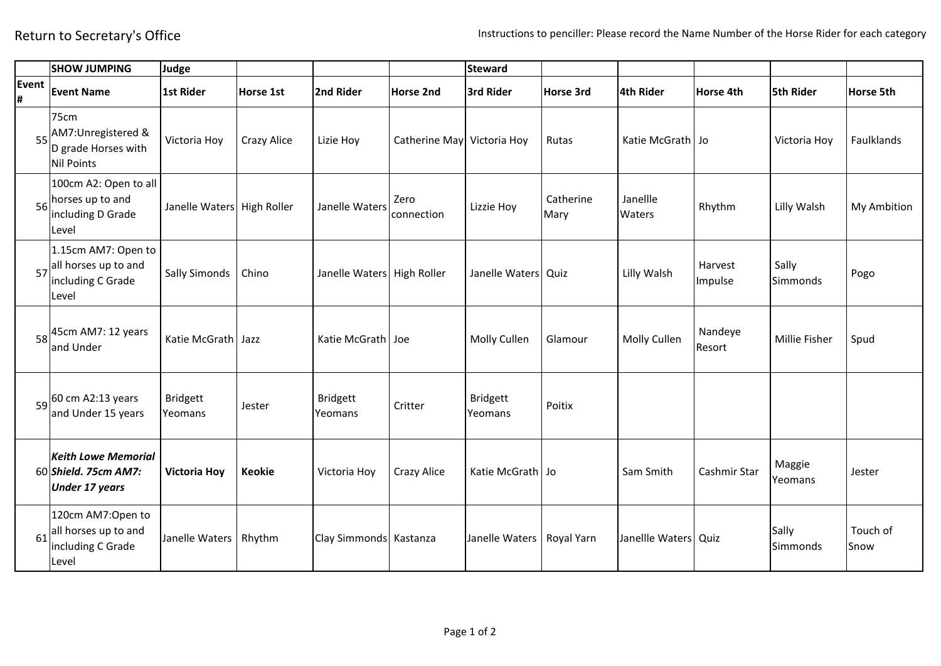|            | <b>SHOW JUMPING</b>                                                         | Judge                      |               |                            |                            | <b>Steward</b>             |                   |                      |                    |                      |                  |
|------------|-----------------------------------------------------------------------------|----------------------------|---------------|----------------------------|----------------------------|----------------------------|-------------------|----------------------|--------------------|----------------------|------------------|
| Event<br># | <b>Event Name</b>                                                           | 1st Rider                  | Horse 1st     | 2nd Rider                  | <b>Horse 2nd</b>           | 3rd Rider                  | Horse 3rd         | 4th Rider            | Horse 4th          | 5th Rider            | <b>Horse 5th</b> |
| 55         | 75cm<br>AM7:Unregistered &<br>D grade Horses with<br><b>Nil Points</b>      | Victoria Hoy               | Crazy Alice   | Lizie Hoy                  | Catherine May Victoria Hoy |                            | Rutas             | Katie McGrath Jo     |                    | Victoria Hoy         | Faulklands       |
| 56         | 100cm A2: Open to all<br>horses up to and<br>including D Grade<br>Level     | Janelle Waters High Roller |               | Janelle Waters             | Zero<br>connection         | Lizzie Hoy                 | Catherine<br>Mary | Janellle<br>Waters   | Rhythm             | Lilly Walsh          | My Ambition      |
| 57         | 1.15cm AM7: Open to<br>all horses up to and<br>including C Grade<br>Level   | <b>Sally Simonds</b>       | Chino         | Janelle Waters High Roller |                            | Janelle Waters Quiz        |                   | Lilly Walsh          | Harvest<br>Impulse | Sally<br>Simmonds    | Pogo             |
| 58         | 45cm AM7: 12 years<br>and Under                                             | Katie McGrath Jazz         |               | Katie McGrath Joe          |                            | Molly Cullen               | Glamour           | Molly Cullen         | Nandeye<br>Resort  | <b>Millie Fisher</b> | Spud             |
| 59         | 60 cm A2:13 years<br>and Under 15 years                                     | <b>Bridgett</b><br>Yeomans | Jester        | <b>Bridgett</b><br>Yeomans | Critter                    | <b>Bridgett</b><br>Yeomans | Poitix            |                      |                    |                      |                  |
|            | <b>Keith Lowe Memorial</b><br>60 Shield. 75cm AM7:<br><b>Under 17 years</b> | <b>Victoria Hoy</b>        | <b>Keokie</b> | Victoria Hoy               | Crazy Alice                | Katie McGrath Jo           |                   | Sam Smith            | Cashmir Star       | Maggie<br>Yeomans    | Jester           |
| 61         | 120cm AM7:Open to<br>all horses up to and<br>including C Grade<br>Level     | Janelle Waters   Rhythm    |               | Clay Simmonds Kastanza     |                            | Janelle Waters             | Royal Yarn        | Janellle Waters Quiz |                    | Sally<br>Simmonds    | Touch of<br>Snow |